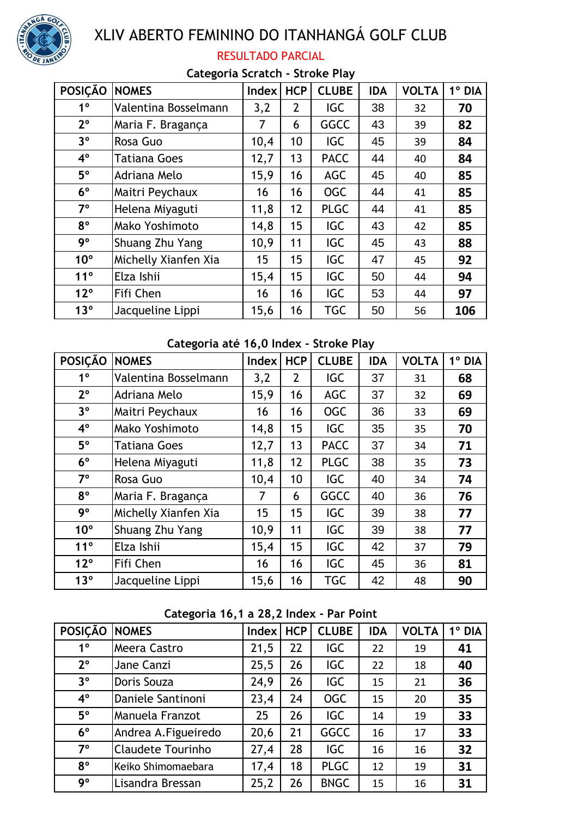

# XLIV ABERTO FEMININO DO ITANHANGÁ GOLF CLUB

### RESULTADO PARCIAL

#### **Categoria Scratch - Stroke Play**

| <b>POSIÇÃO</b>  | <b>NOMES</b>         | <b>Index</b> | <b>HCP</b>     | <b>CLUBE</b> | <b>IDA</b> | <b>VOLTA</b> | $1^\circ$ DIA |
|-----------------|----------------------|--------------|----------------|--------------|------------|--------------|---------------|
| $1^{\circ}$     | Valentina Bosselmann | 3,2          | $\overline{2}$ | <b>IGC</b>   | 38         | 32           | 70            |
| $2^{\circ}$     | Maria F. Bragança    | 7            | 6              | <b>GGCC</b>  | 43         | 39           | 82            |
| 3 <sup>o</sup>  | Rosa Guo             | 10,4         | 10             | <b>IGC</b>   | 45         | 39           | 84            |
| $4^{\circ}$     | <b>Tatiana Goes</b>  | 12,7         | 13             | <b>PACC</b>  | 44         | 40           | 84            |
| $5^{\circ}$     | Adriana Melo         | 15,9         | 16             | <b>AGC</b>   | 45         | 40           | 85            |
| $6^{\circ}$     | Maitri Peychaux      | 16           | 16             | <b>OGC</b>   | 44         | 41           | 85            |
| $7^{\circ}$     | Helena Miyaguti      | 11,8         | 12             | <b>PLGC</b>  | 44         | 41           | 85            |
| $8^{\circ}$     | Mako Yoshimoto       | 14,8         | 15             | <b>IGC</b>   | 43         | 42           | 85            |
| 9°              | Shuang Zhu Yang      | 10,9         | 11             | <b>IGC</b>   | 45         | 43           | 88            |
| $10^{\circ}$    | Michelly Xianfen Xia | 15           | 15             | <b>IGC</b>   | 47         | 45           | 92            |
| 11°             | Elza Ishii           | 15,4         | 15             | <b>IGC</b>   | 50         | 44           | 94            |
| $12^{\circ}$    | Fifi Chen            | 16           | 16             | <b>IGC</b>   | 53         | 44           | 97            |
| 13 <sup>°</sup> | Jacqueline Lippi     | 15,6         | 16             | <b>TGC</b>   | 50         | 56           | 106           |

## **Categoria até 16,0 Index - Stroke Play**

| <b>POSIÇÃO</b>  | <b>NOMES</b>         | Index | <b>HCP</b>     | <b>CLUBE</b> | <b>IDA</b> | <b>VOLTA</b> | 1º DIA |
|-----------------|----------------------|-------|----------------|--------------|------------|--------------|--------|
| 1 <sup>0</sup>  | Valentina Bosselmann | 3,2   | $\overline{2}$ | <b>IGC</b>   | 37         | 31           | 68     |
| $2^{\circ}$     | Adriana Melo         | 15,9  | 16             | <b>AGC</b>   | 37         | 32           | 69     |
| $3^{\circ}$     | Maitri Peychaux      | 16    | 16             | <b>OGC</b>   | 36         | 33           | 69     |
| $4^{\circ}$     | Mako Yoshimoto       | 14,8  | 15             | <b>IGC</b>   | 35         | 35           | 70     |
| $5^{\circ}$     | Tatiana Goes         | 12,7  | 13             | <b>PACC</b>  | 37         | 34           | 71     |
| $6^{\circ}$     | Helena Miyaguti      | 11,8  | 12             | <b>PLGC</b>  | 38         | 35           | 73     |
| $7^\circ$       | Rosa Guo             | 10,4  | 10             | IGC          | 40         | 34           | 74     |
| $8^{\circ}$     | Maria F. Bragança    | 7     | 6              | <b>GGCC</b>  | 40         | 36           | 76     |
| 9°              | Michelly Xianfen Xia | 15    | 15             | <b>IGC</b>   | 39         | 38           | 77     |
| $10^{\circ}$    | Shuang Zhu Yang      | 10,9  | 11             | <b>IGC</b>   | 39         | 38           | 77     |
| 11°             | Elza Ishii           | 15,4  | 15             | <b>IGC</b>   | 42         | 37           | 79     |
| $12^{\circ}$    | Fifi Chen            | 16    | 16             | <b>IGC</b>   | 45         | 36           | 81     |
| 13 <sup>°</sup> | Jacqueline Lippi     | 15,6  | 16             | <b>TGC</b>   | 42         | 48           | 90     |

#### **Categoria 16,1 a 28,2 Index - Par Point**

| <b>POSIÇÃO</b> | <b>NOMES</b>             | Index | <b>HCP</b> | <b>CLUBE</b> | <b>IDA</b> | <b>VOLTA</b> | $1^\circ$ DIA |
|----------------|--------------------------|-------|------------|--------------|------------|--------------|---------------|
| $1^{\circ}$    | Meera Castro             | 21,5  | 22         | <b>IGC</b>   | 22         | 19           | 41            |
| $2^{\circ}$    | Jane Canzi               | 25,5  | 26         | <b>IGC</b>   | 22         | 18           | 40            |
| 3 <sup>o</sup> | Doris Souza              | 24,9  | 26         | <b>IGC</b>   | 15         | 21           | 36            |
| $4^{\circ}$    | Daniele Santinoni        | 23,4  | 24         | <b>OGC</b>   | 15         | 20           | 35            |
| $5^{\circ}$    | Manuela Franzot          | 25    | 26         | <b>IGC</b>   | 14         | 19           | 33            |
| $6^{\circ}$    | Andrea A. Figueiredo     | 20,6  | 21         | <b>GGCC</b>  | 16         | 17           | 33            |
| $7^\circ$      | <b>Claudete Tourinho</b> | 27,4  | 28         | <b>IGC</b>   | 16         | 16           | 32            |
| $8^{\circ}$    | Keiko Shimomaebara       | 17,4  | 18         | <b>PLGC</b>  | 12         | 19           | 31            |
| 9°             | Lisandra Bressan         | 25,2  | 26         | <b>BNGC</b>  | 15         | 16           | 31            |